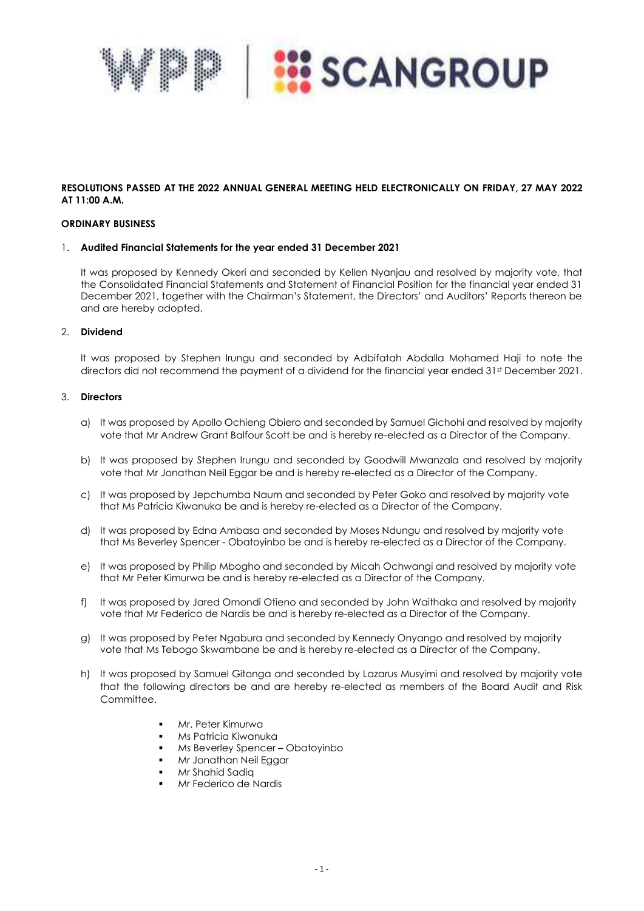

## **RESOLUTIONS PASSED AT THE 2022 ANNUAL GENERAL MEETING HELD ELECTRONICALLY ON FRIDAY, 27 MAY 2022 AT 11:00 A.M.**

### **ORDINARY BUSINESS**

#### 1. **Audited Financial Statements for the year ended 31 December 2021**

It was proposed by Kennedy Okeri and seconded by Kellen Nyanjau and resolved by majority vote, that the Consolidated Financial Statements and Statement of Financial Position for the financial year ended 31 December 2021, together with the Chairman's Statement, the Directors' and Auditors' Reports thereon be and are hereby adopted.

#### 2. **Dividend**

It was proposed by Stephen Irungu and seconded by Adbifatah Abdalla Mohamed Haji to note the directors did not recommend the payment of a dividend for the financial year ended 31st December 2021.

## 3. **Directors**

- a) It was proposed by Apollo Ochieng Obiero and seconded by Samuel Gichohi and resolved by majority vote that Mr Andrew Grant Balfour Scott be and is hereby re-elected as a Director of the Company.
- b) It was proposed by Stephen Irungu and seconded by Goodwill Mwanzala and resolved by majority vote that Mr Jonathan Neil Eggar be and is hereby re-elected as a Director of the Company.
- c) It was proposed by Jepchumba Naum and seconded by Peter Goko and resolved by majority vote that Ms Patricia Kiwanuka be and is hereby re-elected as a Director of the Company.
- d) It was proposed by Edna Ambasa and seconded by Moses Ndungu and resolved by majority vote that Ms Beverley Spencer - Obatoyinbo be and is hereby re-elected as a Director of the Company.
- e) It was proposed by Philip Mbogho and seconded by Micah Ochwangi and resolved by majority vote that Mr Peter Kimurwa be and is hereby re-elected as a Director of the Company.
- f) It was proposed by Jared Omondi Otieno and seconded by John Waithaka and resolved by majority vote that Mr Federico de Nardis be and is hereby re-elected as a Director of the Company.
- g) It was proposed by Peter Ngabura and seconded by Kennedy Onyango and resolved by maiority vote that Ms Tebogo Skwambane be and is hereby re-elected as a Director of the Company.
- h) It was proposed by Samuel Gitonga and seconded by Lazarus Musyimi and resolved by majority vote that the following directors be and are hereby re-elected as members of the Board Audit and Risk Committee.
	- Mr. Peter Kimurwa
	- Ms Patricia Kiwanuka
	- Ms Beverley Spencer Obatoyinbo
	- Mr Jonathan Neil Eggar
	- Mr Shahid Sadia
	- Mr Federico de Nardis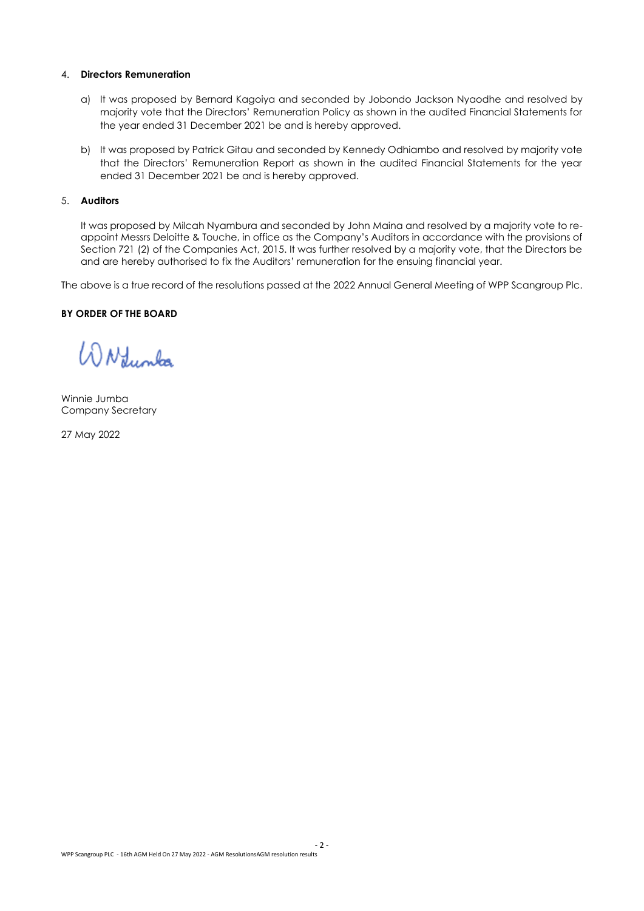### 4. **Directors Remuneration**

- a) It was proposed by Bernard Kagoiya and seconded by Jobondo Jackson Nyaodhe and resolved by majority vote that the Directors' Remuneration Policy as shown in the audited Financial Statements for the year ended 31 December 2021 be and is hereby approved.
- b) It was proposed by Patrick Gitau and seconded by Kennedy Odhiambo and resolved by majority vote that the Directors' Remuneration Report as shown in the audited Financial Statements for the year ended 31 December 2021 be and is hereby approved.

## 5. **Auditors**

It was proposed by Milcah Nyambura and seconded by John Maina and resolved by a majority vote to reappoint Messrs Deloitte & Touche, in office as the Company's Auditors in accordance with the provisions of Section 721 (2) of the Companies Act, 2015. It was further resolved by a majority vote, that the Directors be and are hereby authorised to fix the Auditors' remuneration for the ensuing financial year.

The above is a true record of the resolutions passed at the 2022 Annual General Meeting of WPP Scangroup Plc.

## **BY ORDER OF THE BOARD**

WNfumba

Winnie Jumba Company Secretary

27 May 2022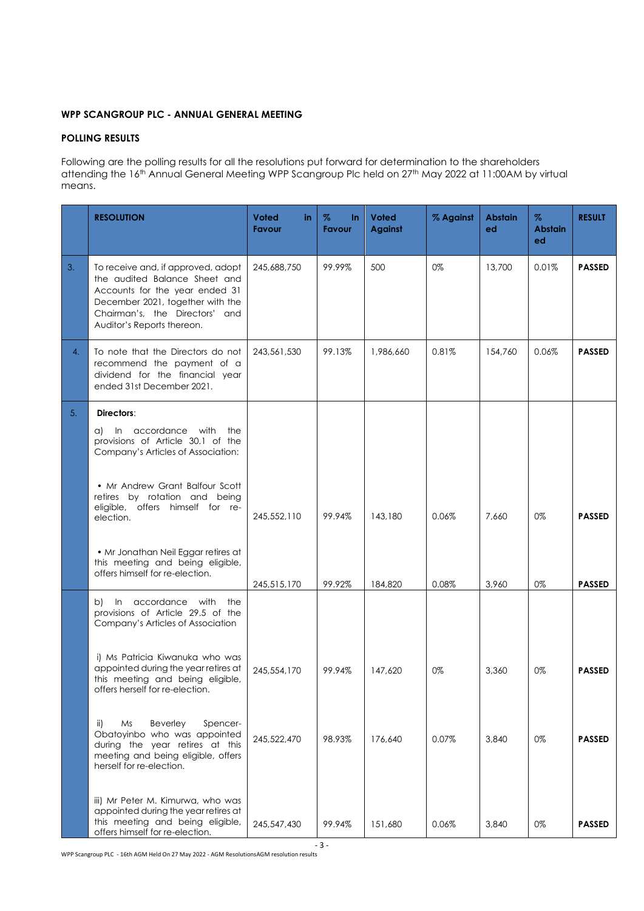# **WPP SCANGROUP PLC - ANNUAL GENERAL MEETING**

# **POLLING RESULTS**

Following are the polling results for all the resolutions put forward for determination to the shareholders attending the 16<sup>th</sup> Annual General Meeting WPP Scangroup Plc held on 27<sup>th</sup> May 2022 at 11:00AM by virtual means.

|    | <b>RESOLUTION</b>                                                                                                                                                                                         | <b>Voted</b><br>in.<br>Favour | %<br>In.<br>Favour | <b>Voted</b><br><b>Against</b> | % Against | <b>Abstain</b><br>ed | $\%$<br><b>Abstain</b><br>ed | <b>RESULT</b> |
|----|-----------------------------------------------------------------------------------------------------------------------------------------------------------------------------------------------------------|-------------------------------|--------------------|--------------------------------|-----------|----------------------|------------------------------|---------------|
| 3. | To receive and, if approved, adopt<br>the audited Balance Sheet and<br>Accounts for the year ended 31<br>December 2021, together with the<br>Chairman's, the Directors' and<br>Auditor's Reports thereon. | 245,688,750                   | 99.99%             | 500                            | 0%        | 13,700               | 0.01%                        | <b>PASSED</b> |
| 4. | To note that the Directors do not<br>recommend the payment of a<br>dividend for the financial year<br>ended 31st December 2021.                                                                           | 243,561,530                   | 99.13%             | 1,986,660                      | 0.81%     | 154,760              | 0.06%                        | <b>PASSED</b> |
| 5. | Directors:<br>a) In accordance with the                                                                                                                                                                   |                               |                    |                                |           |                      |                              |               |
|    | provisions of Article 30.1 of the<br>Company's Articles of Association:                                                                                                                                   |                               |                    |                                |           |                      |                              |               |
|    | • Mr Andrew Grant Balfour Scott<br>retires by rotation and being<br>eligible, offers himself for re-<br>election.                                                                                         | 245,552,110                   | 99.94%             | 143,180                        | 0.06%     | 7,660                | 0%                           | <b>PASSED</b> |
|    | • Mr Jonathan Neil Eggar retires at<br>this meeting and being eligible,<br>offers himself for re-election.                                                                                                |                               |                    |                                |           |                      |                              |               |
|    | In accordance with the<br>b)<br>provisions of Article 29.5 of the<br>Company's Articles of Association                                                                                                    | 245,515,170                   | 99.92%             | 184,820                        | 0.08%     | 3,960                | 0%                           | <b>PASSED</b> |
|    | i) Ms Patricia Kiwanuka who was<br>appointed during the year retires at<br>this meeting and being eligible,<br>offers herself for re-election.                                                            | 245,554,170                   | 99.94%             | 147,620                        | 0%        | 3,360                | 0%                           | <b>PASSED</b> |
|    | Beverley<br>ii)<br>Ms<br>Spencer-<br>Obatoyinbo who was appointed<br>during the year retires at this<br>meeting and being eligible, offers<br>herself for re-election.                                    | 245,522,470                   | 98.93%             | 176,640                        | 0.07%     | 3,840                | 0%                           | <b>PASSED</b> |
|    | iii) Mr Peter M. Kimurwa, who was<br>appointed during the year retires at<br>this meeting and being eligible,<br>offers himself for re-election.                                                          | 245,547,430                   | 99.94%             | 151,680                        | 0.06%     | 3,840                | 0%                           | <b>PASSED</b> |